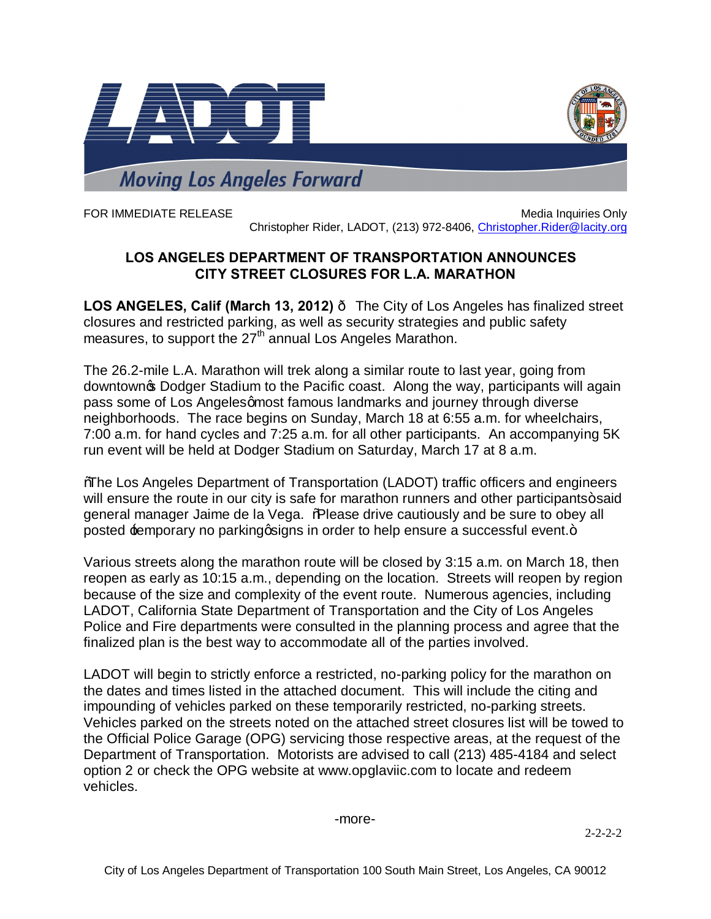

FOR IMMEDIATE RELEASE MEDICINE IN A SERVICE ONLY A SERVICE ONLY A SERVICE ONLY A SERVICE ONLY A SERVICE ONLY A SERVICE ONLY A SERVICE ONLY A SERVICE ONLY A SERVICE ONLY A SERVICE ONLY A SERVICE ONLY A SERVICE ONLY A SERVIC Christopher Rider, LADOT, (213) 972-8406, [Christopher.Rider@lacity.org](mailto:Christopher.Rider@lacity.org)

## **LOS ANGELES DEPARTMENT OF TRANSPORTATION ANNOUNCES CITY STREET CLOSURES FOR L.A. MARATHON**

**LOS ANGELES, Calif (March 13, 2012)** — The City of Los Angeles has finalized street closures and restricted parking, as well as security strategies and public safety measures, to support the  $27<sup>th</sup>$  annual Los Angeles Marathon.

The 26.2-mile L.A. Marathon will trek along a similar route to last year, going from downtown **S** Dodger Stadium to the Pacific coast. Along the way, participants will again pass some of Los Angeles amost famous landmarks and journey through diverse neighborhoods. The race begins on Sunday, March 18 at 6:55 a.m. for wheelchairs, 7:00 a.m. for hand cycles and 7:25 a.m. for all other participants. An accompanying 5K run event will be held at Dodger Stadium on Saturday, March 17 at 8 a.m.

"The Los Angeles Department of Transportation (LADOT) traffic officers and engineers will ensure the route in our city is safe for marathon runners and other participants+said general manager Jaime de la Vega. % Rease drive cautiously and be sure to obey all posted temporary no parking q igns in order to help ensure a successful event.+

Various streets along the marathon route will be closed by 3:15 a.m. on March 18, then reopen as early as 10:15 a.m., depending on the location. Streets will reopen by region because of the size and complexity of the event route. Numerous agencies, including LADOT, California State Department of Transportation and the City of Los Angeles Police and Fire departments were consulted in the planning process and agree that the finalized plan is the best way to accommodate all of the parties involved.

LADOT will begin to strictly enforce a restricted, no-parking policy for the marathon on the dates and times listed in the attached document. This will include the citing and impounding of vehicles parked on these temporarily restricted, no-parking streets. Vehicles parked on the streets noted on the attached street closures list will be towed to the Official Police Garage (OPG) servicing those respective areas, at the request of the Department of Transportation. Motorists are advised to call (213) 485-4184 and select option 2 or check the OPG website at www.opglaviic.com to locate and redeem vehicles.

## -more-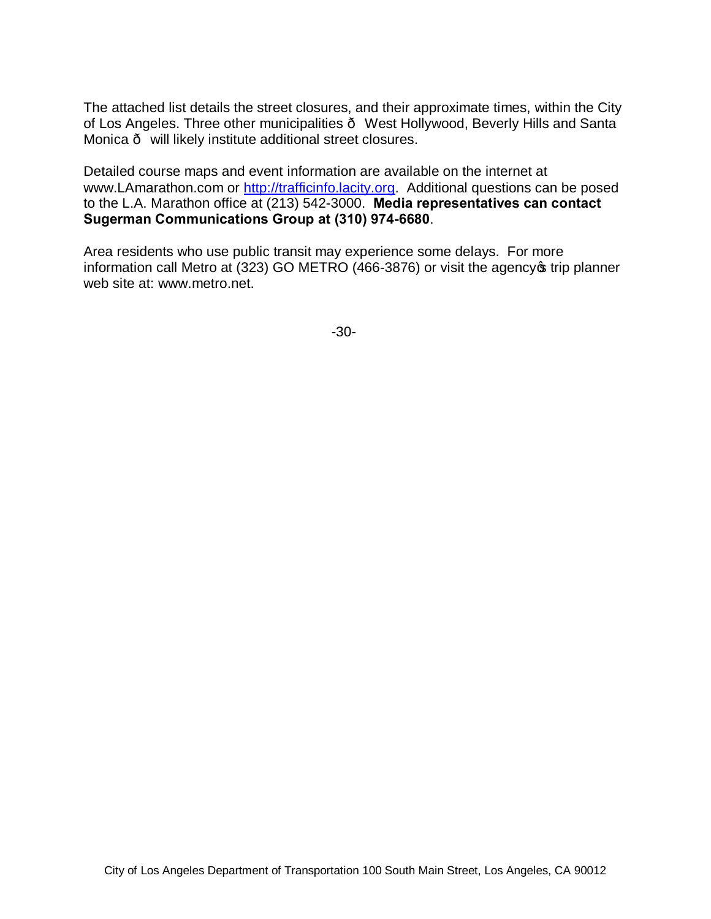The attached list details the street closures, and their approximate times, within the City of Los Angeles. Three other municipalities · West Hollywood, Beverly Hills and Santa Monica — will likely institute additional street closures.

Detailed course maps and event information are available on the internet at www.LAmarathon.com or [http://trafficinfo.lacity.org.](http://trafficinfo.lacity.org/) Additional questions can be posed to the L.A. Marathon office at (213) 542-3000. **Media representatives can contact Sugerman Communications Group at (310) 974-6680**.

Area residents who use public transit may experience some delays. For more information call Metro at (323) GO METRO (466-3876) or visit the agency of trip planner web site at: www.metro.net.

-30-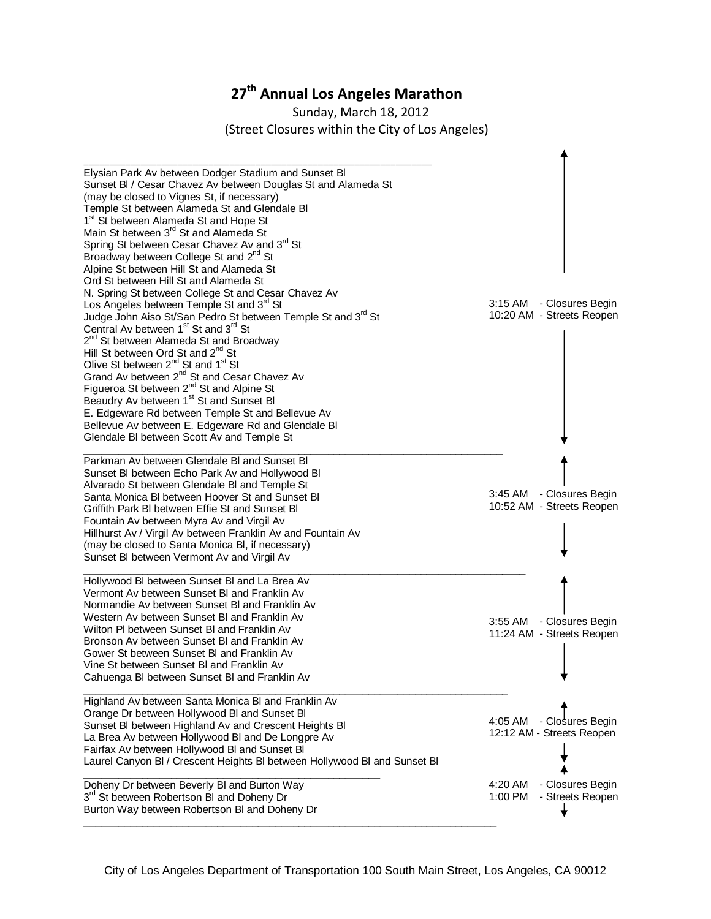## **27th Annual Los Angeles Marathon**

Sunday, March 18, 2012 (Street Closures within the City of Los Angeles)